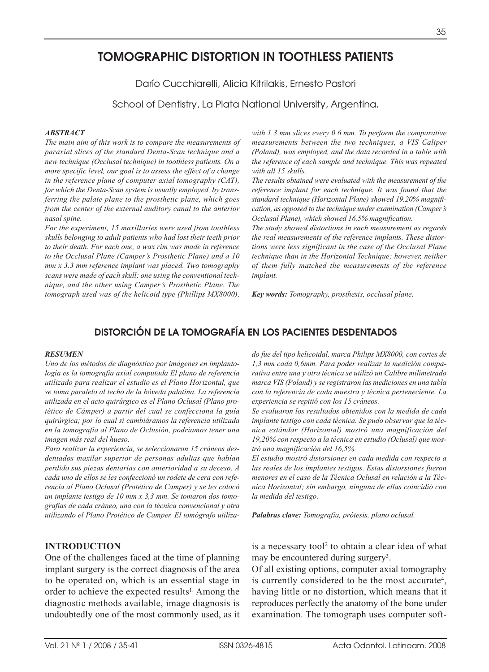# **TOMOGRAPHIC DISTORTION IN TOOTHLESS PATIENTS**

Darío Cucchiarelli, Alicia Kitrilakis, Ernesto Pastori

School of Dentistry, La Plata National University, Argentina.

#### *ABSTRACT*

*The main aim of this work is to compare the measurements of paraxial slices of the standard Denta-Scan technique and a new technique (Occlusal technique) in toothless patients. On a more specific level, our goal is to assess the effect of a change in the reference plane of computer axial tomography (CAT), for which the Denta-Scan system is usually employed, by transferring the palate plane to the prosthetic plane, which goes from the center of the external auditory canal to the anterior nasal spine.* 

*For the experiment, 15 maxillaries were used from toothless skulls belonging to adult patients who had lost their teeth prior to their death. For each one, a wax rim was made in reference to the Occlusal Plane (Camper's Prosthetic Plane) and a 10 mm x 3.3 mm reference implant was placed. Two tomography scans were made of each skull; one using the conventional technique, and the other using Camper's Prosthetic Plane. The tomograph used was of the helicoid type (Phillips MX8000),* *with 1.3 mm slices every 0.6 mm. To perform the comparative measurements between the two techniques, a VIS Caliper (Poland), was employed, and the data recorded in a table with the reference of each sample and technique. This was repeated with all 15 skulls.* 

*The results obtained were evaluated with the measurement of the reference implant for each technique. It was found that the standard technique (Horizontal Plane) showed 19.20% magnification, as opposed to the technique under examination (Camper's Occlusal Plane), which showed 16.5% magnification.*

*The study showed distortions in each measurement as regards the real measurements of the reference implants. These distortions were less significant in the case of the Occlusal Plane technique than in the Horizontal Technique; however, neither of them fully matched the measurements of the reference implant.* 

*Key words: Tomography, prosthesis, occlusal plane.*

## **DISTORCIÓN DE LA TOMOGRAFÍA EN LOS PACIENTES DESDENTADOS**

#### *RESUMEN*

*Uno de los métodos de diagnóstico por imágenes en implantología es la tomografía axial computada El plano de referencia utilizado para realizar el estudio es el Plano Horizontal, que se toma paralelo al techo de la bóveda palatina. La referencia utilizada en el acto quirúrgico es el Plano Oclusal (Plano protético de Cámper) a partir del cual se confecciona la guía quirúrgica; por lo cual si cambiáramos la referencia utilizada en la tomografía al Plano de Oclusión, podríamos tener una imagen más real del hueso.*

*Para realizar la experiencia, se seleccionaron 15 cráneos desdentados maxilar superior de personas adultas que habían perdido sus piezas dentarias con anterioridad a su deceso. A cada uno de ellos se les confeccionó un rodete de cera con referencia al Plano Oclusal (Protético de Camper) y se les colocó un implante testigo de 10 mm x 3,3 mm. Se tomaron dos tomografías de cada cráneo, una con la técnica convencional y otra utilizando el Plano Protético de Camper. El tomógrafo utiliza-*

## **INTRODUCTION**

One of the challenges faced at the time of planning implant surgery is the correct diagnosis of the area to be operated on, which is an essential stage in order to achieve the expected results<sup>1.</sup> Among the diagnostic methods available, image diagnosis is undoubtedly one of the most commonly used, as it *do fue del tipo helicoidal, marca Philips MX8000, con cortes de 1,3 mm cada 0,6mm. Para poder realizar la medición comparativa entre una y otra técnica se utilizó un Calibre milimetrado marca VIS (Poland) y se registraron las mediciones en una tabla con la referencia de cada muestra y técnica perteneciente. La experiencia se repitió con los 15 cráneos.*

*Se evaluaron los resultados obtenidos con la medida de cada implante testigo con cada técnica. Se pudo observar que la técnica estándar (Horizontal) mostró una magnificación del 19,20% con respecto a la técnica en estudio (Oclusal) que mostró una magnificación del 16,5%.*

*El estudio mostró distorsiones en cada medida con respecto a las reales de los implantes testigos. Estas distorsiones fueron menores en el caso de la Técnica Oclusal en relación a la Técnica Horizontal; sin embargo, ninguna de ellas coincidió con la medida del testigo.*

*Palabras clave: Tomografía, prótesis, plano oclusal.*

is a necessary tool<sup>2</sup> to obtain a clear idea of what may be encountered during surgery<sup>3</sup>.

Of all existing options, computer axial tomography is currently considered to be the most accurate4, having little or no distortion, which means that it reproduces perfectly the anatomy of the bone under examination. The tomograph uses computer soft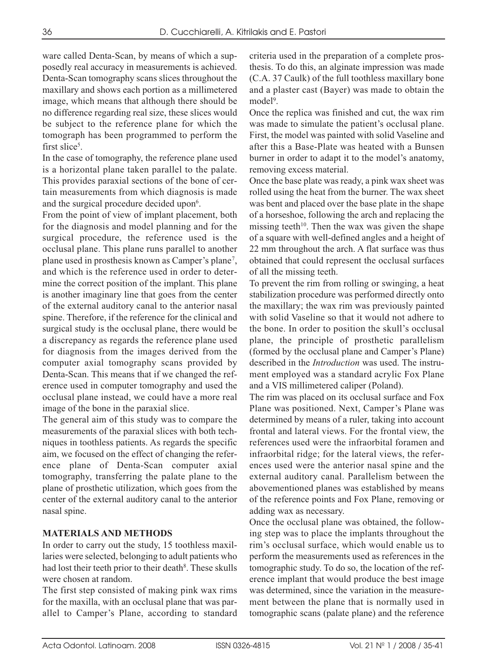ware called Denta-Scan, by means of which a supposedly real accuracy in measurements is achieved. Denta-Scan tomography scans slices throughout the maxillary and shows each portion as a millimetered image, which means that although there should be no difference regarding real size, these slices would be subject to the reference plane for which the tomograph has been programmed to perform the first slice<sup>5</sup>.

In the case of tomography, the reference plane used is a horizontal plane taken parallel to the palate. This provides paraxial sections of the bone of certain measurements from which diagnosis is made and the surgical procedure decided upon<sup>6</sup>.

From the point of view of implant placement, both for the diagnosis and model planning and for the surgical procedure, the reference used is the occlusal plane. This plane runs parallel to another plane used in prosthesis known as Camper's plane7, and which is the reference used in order to determine the correct position of the implant. This plane is another imaginary line that goes from the center of the external auditory canal to the anterior nasal spine. Therefore, if the reference for the clinical and surgical study is the occlusal plane, there would be a discrepancy as regards the reference plane used for diagnosis from the images derived from the computer axial tomography scans provided by Denta-Scan. This means that if we changed the reference used in computer tomography and used the occlusal plane instead, we could have a more real image of the bone in the paraxial slice.

The general aim of this study was to compare the measurements of the paraxial slices with both techniques in toothless patients. As regards the specific aim, we focused on the effect of changing the reference plane of Denta-Scan computer axial tomography, transferring the palate plane to the plane of prosthetic utilization, which goes from the center of the external auditory canal to the anterior nasal spine.

## **MATERIALS AND METHODS**

In order to carry out the study, 15 toothless maxillaries were selected, belonging to adult patients who had lost their teeth prior to their death<sup>8</sup>. These skulls were chosen at random.

The first step consisted of making pink wax rims for the maxilla, with an occlusal plane that was parallel to Camper's Plane, according to standard criteria used in the preparation of a complete prosthesis. To do this, an alginate impression was made (C.A. 37 Caulk) of the full toothless maxillary bone and a plaster cast (Bayer) was made to obtain the model<sup>9</sup>.

Once the replica was finished and cut, the wax rim was made to simulate the patient's occlusal plane. First, the model was painted with solid Vaseline and after this a Base-Plate was heated with a Bunsen burner in order to adapt it to the model's anatomy, removing excess material.

Once the base plate was ready, a pink wax sheet was rolled using the heat from the burner. The wax sheet was bent and placed over the base plate in the shape of a horseshoe, following the arch and replacing the missing teeth<sup>10</sup>. Then the wax was given the shape of a square with well-defined angles and a height of 22 mm throughout the arch. A flat surface was thus obtained that could represent the occlusal surfaces of all the missing teeth.

To prevent the rim from rolling or swinging, a heat stabilization procedure was performed directly onto the maxillary; the wax rim was previously painted with solid Vaseline so that it would not adhere to the bone. In order to position the skull's occlusal plane, the principle of prosthetic parallelism (formed by the occlusal plane and Camper's Plane) described in the *Introduction* was used. The instrument employed was a standard acrylic Fox Plane and a VIS millimetered caliper (Poland).

The rim was placed on its occlusal surface and Fox Plane was positioned. Next, Camper's Plane was determined by means of a ruler, taking into account frontal and lateral views. For the frontal view, the references used were the infraorbital foramen and infraorbital ridge; for the lateral views, the references used were the anterior nasal spine and the external auditory canal. Parallelism between the abovementioned planes was established by means of the reference points and Fox Plane, removing or adding wax as necessary.

Once the occlusal plane was obtained, the following step was to place the implants throughout the rim's occlusal surface, which would enable us to perform the measurements used as references in the tomographic study. To do so, the location of the reference implant that would produce the best image was determined, since the variation in the measurement between the plane that is normally used in tomographic scans (palate plane) and the reference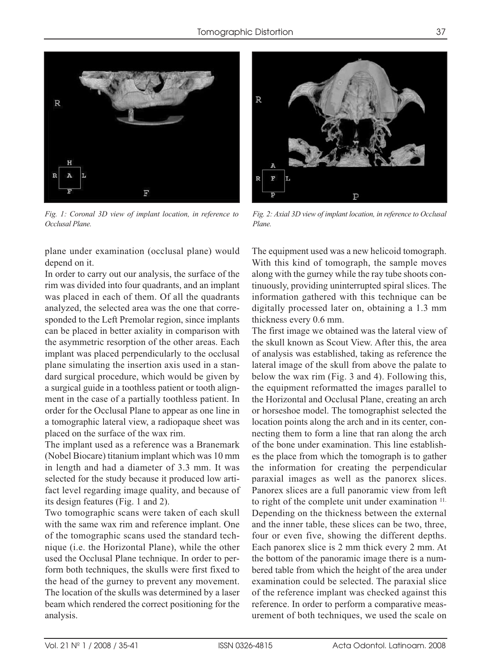

*Fig. 1: Coronal 3D view of implant location, in reference to Occlusal Plane.*

plane under examination (occlusal plane) would depend on it.

In order to carry out our analysis, the surface of the rim was divided into four quadrants, and an implant was placed in each of them. Of all the quadrants analyzed, the selected area was the one that corresponded to the Left Premolar region, since implants can be placed in better axiality in comparison with the asymmetric resorption of the other areas. Each implant was placed perpendicularly to the occlusal plane simulating the insertion axis used in a standard surgical procedure, which would be given by a surgical guide in a toothless patient or tooth alignment in the case of a partially toothless patient. In order for the Occlusal Plane to appear as one line in a tomographic lateral view, a radiopaque sheet was placed on the surface of the wax rim.

The implant used as a reference was a Branemark (Nobel Biocare) titanium implant which was 10 mm in length and had a diameter of 3.3 mm. It was selected for the study because it produced low artifact level regarding image quality, and because of its design features (Fig. 1 and 2).

Two tomographic scans were taken of each skull with the same wax rim and reference implant. One of the tomographic scans used the standard technique (i.e. the Horizontal Plane), while the other used the Occlusal Plane technique. In order to perform both techniques, the skulls were first fixed to the head of the gurney to prevent any movement. The location of the skulls was determined by a laser beam which rendered the correct positioning for the analysis.



*Fig. 2: Axial 3D view of implant location, in reference to Occlusal Plane.*

The equipment used was a new helicoid tomograph. With this kind of tomograph, the sample moves along with the gurney while the ray tube shoots continuously, providing uninterrupted spiral slices. The information gathered with this technique can be digitally processed later on, obtaining a 1.3 mm thickness every 0.6 mm.

The first image we obtained was the lateral view of the skull known as Scout View. After this, the area of analysis was established, taking as reference the lateral image of the skull from above the palate to below the wax rim (Fig. 3 and 4). Following this, the equipment reformatted the images parallel to the Horizontal and Occlusal Plane, creating an arch or horseshoe model. The tomographist selected the location points along the arch and in its center, connecting them to form a line that ran along the arch of the bone under examination. This line establishes the place from which the tomograph is to gather the information for creating the perpendicular paraxial images as well as the panorex slices. Panorex slices are a full panoramic view from left to right of the complete unit under examination <sup>11.</sup> Depending on the thickness between the external and the inner table, these slices can be two, three, four or even five, showing the different depths. Each panorex slice is 2 mm thick every 2 mm. At the bottom of the panoramic image there is a numbered table from which the height of the area under examination could be selected. The paraxial slice of the reference implant was checked against this reference. In order to perform a comparative measurement of both techniques, we used the scale on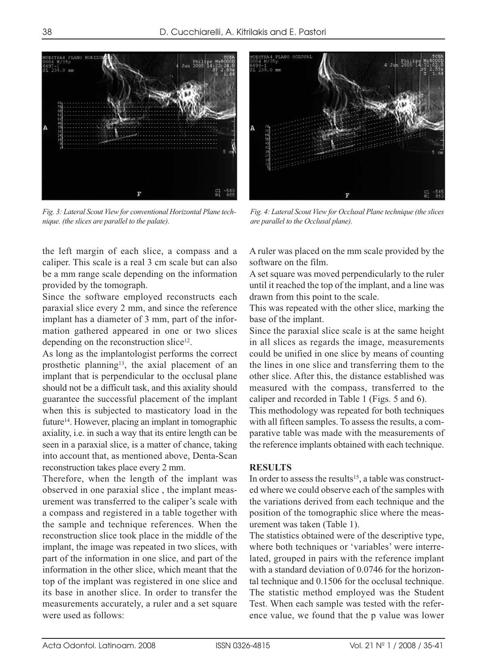*Fig. 3: Lateral Scout View for conventional Horizontal Plane technique. (the slices are parallel to the palate).*

the left margin of each slice, a compass and a caliper. This scale is a real 3 cm scale but can also be a mm range scale depending on the information provided by the tomograph.

Since the software employed reconstructs each paraxial slice every 2 mm, and since the reference implant has a diameter of 3 mm, part of the information gathered appeared in one or two slices depending on the reconstruction slice<sup>12</sup>.

As long as the implantologist performs the correct prosthetic planning<sup>13</sup>, the axial placement of an implant that is perpendicular to the occlusal plane should not be a difficult task, and this axiality should guarantee the successful placement of the implant when this is subjected to masticatory load in the future14. However, placing an implant in tomographic axiality, i.e. in such a way that its entire length can be seen in a paraxial slice, is a matter of chance, taking into account that, as mentioned above, Denta-Scan reconstruction takes place every 2 mm.

Therefore, when the length of the implant was observed in one paraxial slice , the implant measurement was transferred to the caliper's scale with a compass and registered in a table together with the sample and technique references. When the reconstruction slice took place in the middle of the implant, the image was repeated in two slices, with part of the information in one slice, and part of the information in the other slice, which meant that the top of the implant was registered in one slice and its base in another slice. In order to transfer the measurements accurately, a ruler and a set square were used as follows:

A ruler was placed on the mm scale provided by the software on the film.

*Fig. 4: Lateral Scout View for Occlusal Plane technique (the slices*

*are parallel to the Occlusal plane).*

A set square was moved perpendicularly to the ruler until it reached the top of the implant, and a line was drawn from this point to the scale.

This was repeated with the other slice, marking the base of the implant.

Since the paraxial slice scale is at the same height in all slices as regards the image, measurements could be unified in one slice by means of counting the lines in one slice and transferring them to the other slice. After this, the distance established was measured with the compass, transferred to the caliper and recorded in Table 1 (Figs. 5 and 6).

This methodology was repeated for both techniques with all fifteen samples. To assess the results, a comparative table was made with the measurements of the reference implants obtained with each technique.

#### **RESULTS**

In order to assess the results<sup>15</sup>, a table was constructed where we could observe each of the samples with the variations derived from each technique and the position of the tomographic slice where the measurement was taken (Table 1).

The statistics obtained were of the descriptive type, where both techniques or 'variables' were interrelated, grouped in pairs with the reference implant with a standard deviation of 0.0746 for the horizontal technique and 0.1506 for the occlusal technique. The statistic method employed was the Student Test. When each sample was tested with the reference value, we found that the p value was lower

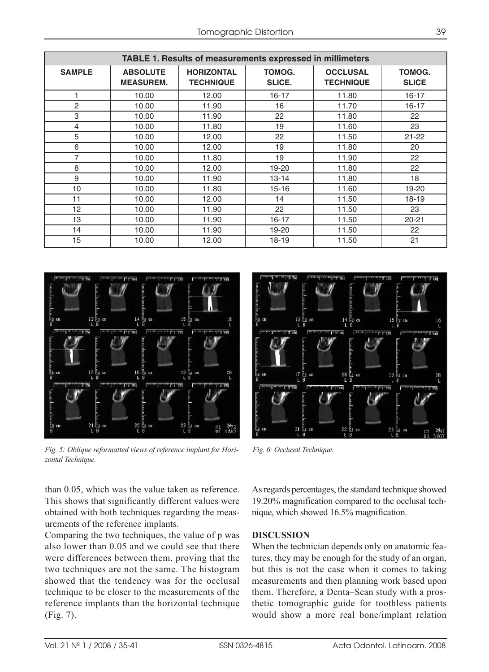| TABLE 1. Results of measurements expressed in millimeters |                                     |                                       |                         |                                     |                        |
|-----------------------------------------------------------|-------------------------------------|---------------------------------------|-------------------------|-------------------------------------|------------------------|
| <b>SAMPLE</b>                                             | <b>ABSOLUTE</b><br><b>MEASUREM.</b> | <b>HORIZONTAL</b><br><b>TECHNIQUE</b> | <b>TOMOG.</b><br>SLICE. | <b>OCCLUSAL</b><br><b>TECHNIQUE</b> | TOMOG.<br><b>SLICE</b> |
| 1                                                         | 10.00                               | 12.00                                 | $16 - 17$               | 11.80                               | $16 - 17$              |
| 2                                                         | 10.00                               | 11.90                                 | 16                      | 11.70                               | $16 - 17$              |
| 3                                                         | 10.00                               | 11.90                                 | 22                      | 11.80                               | 22                     |
| 4                                                         | 10.00                               | 11.80                                 | 19                      | 11.60                               | 23                     |
| 5                                                         | 10.00                               | 12.00                                 | 22                      | 11.50                               | $21 - 22$              |
| 6                                                         | 10.00                               | 12.00                                 | 19                      | 11.80                               | 20                     |
| 7                                                         | 10.00                               | 11.80                                 | 19                      | 11.90                               | 22                     |
| 8                                                         | 10.00                               | 12.00                                 | 19-20                   | 11.80                               | 22                     |
| 9                                                         | 10.00                               | 11.90                                 | $13 - 14$               | 11.80                               | 18                     |
| 10                                                        | 10.00                               | 11.80                                 | 15-16                   | 11.60                               | 19-20                  |
| 11                                                        | 10.00                               | 12.00                                 | 14                      | 11.50                               | $18 - 19$              |
| 12                                                        | 10.00                               | 11.90                                 | 22                      | 11.50                               | 23                     |
| 13                                                        | 10.00                               | 11.90                                 | $16 - 17$               | 11.50                               | $20 - 21$              |
| 14                                                        | 10.00                               | 11.90                                 | 19-20                   | 11.50                               | 22                     |
| 15                                                        | 10.00                               | 12.00                                 | $18-19$                 | 11.50                               | 21                     |



*Fig. 5: Oblique reformatted views of reference implant for Horizontal Technique.*



*Fig. 6: Occlusal Technique.*

than 0.05, which was the value taken as reference. This shows that significantly different values were obtained with both techniques regarding the measurements of the reference implants.

Comparing the two techniques, the value of p was also lower than 0.05 and we could see that there were differences between them, proving that the two techniques are not the same. The histogram showed that the tendency was for the occlusal technique to be closer to the measurements of the reference implants than the horizontal technique (Fig. 7).

As regards percentages, the standard technique showed 19.20% magnification compared to the occlusal technique, which showed 16.5% magnification.

#### **DISCUSSION**

When the technician depends only on anatomic features, they may be enough for the study of an organ, but this is not the case when it comes to taking measurements and then planning work based upon them. Therefore, a Denta–Scan study with a prosthetic tomographic guide for toothless patients would show a more real bone/implant relation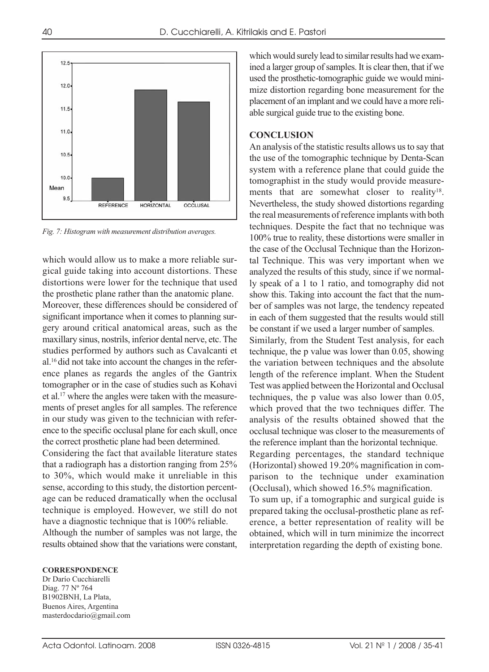

*Fig. 7: Histogram with measurement distribution averages.*

which would allow us to make a more reliable surgical guide taking into account distortions. These distortions were lower for the technique that used the prosthetic plane rather than the anatomic plane.

Moreover, these differences should be considered of significant importance when it comes to planning surgery around critical anatomical areas, such as the maxillary sinus, nostrils, inferior dental nerve, etc. The studies performed by authors such as Cavalcanti et al.16 did not take into account the changes in the reference planes as regards the angles of the Gantrix tomographer or in the case of studies such as Kohavi et al.17 where the angles were taken with the measurements of preset angles for all samples. The reference in our study was given to the technician with reference to the specific occlusal plane for each skull, once the correct prosthetic plane had been determined.

Considering the fact that available literature states that a radiograph has a distortion ranging from 25% to 30%, which would make it unreliable in this sense, according to this study, the distortion percentage can be reduced dramatically when the occlusal technique is employed. However, we still do not have a diagnostic technique that is 100% reliable.

Although the number of samples was not large, the results obtained show that the variations were constant,

which would surely lead to similar results had we examined a larger group of samples. It is clear then, that if we used the prosthetic-tomographic guide we would minimize distortion regarding bone measurement for the placement of an implant and we could have a more reliable surgical guide true to the existing bone.

### **CONCLUSION**

An analysis of the statistic results allows us to say that the use of the tomographic technique by Denta-Scan system with a reference plane that could guide the tomographist in the study would provide measurements that are somewhat closer to reality<sup>18</sup>. Nevertheless, the study showed distortions regarding the real measurements of reference implants with both techniques. Despite the fact that no technique was 100% true to reality, these distortions were smaller in the case of the Occlusal Technique than the Horizontal Technique. This was very important when we analyzed the results of this study, since if we normally speak of a 1 to 1 ratio, and tomography did not show this. Taking into account the fact that the number of samples was not large, the tendency repeated in each of them suggested that the results would still be constant if we used a larger number of samples. Similarly, from the Student Test analysis, for each technique, the p value was lower than 0.05, showing the variation between techniques and the absolute length of the reference implant. When the Student Test was applied between the Horizontal and Occlusal techniques, the p value was also lower than 0.05, which proved that the two techniques differ. The analysis of the results obtained showed that the occlusal technique was closer to the measurements of the reference implant than the horizontal technique. Regarding percentages, the standard technique (Horizontal) showed 19.20% magnification in comparison to the technique under examination (Occlusal), which showed 16.5% magnification. To sum up, if a tomographic and surgical guide is prepared taking the occlusal-prosthetic plane as reference, a better representation of reality will be obtained, which will in turn minimize the incorrect

interpretation regarding the depth of existing bone.

#### **CORRESPONDENCE**

Dr Darío Cucchiarelli Diag. 77 Nº 764 B1902BNH, La Plata, Buenos Aires, Argentina masterdocdario@gmail.com